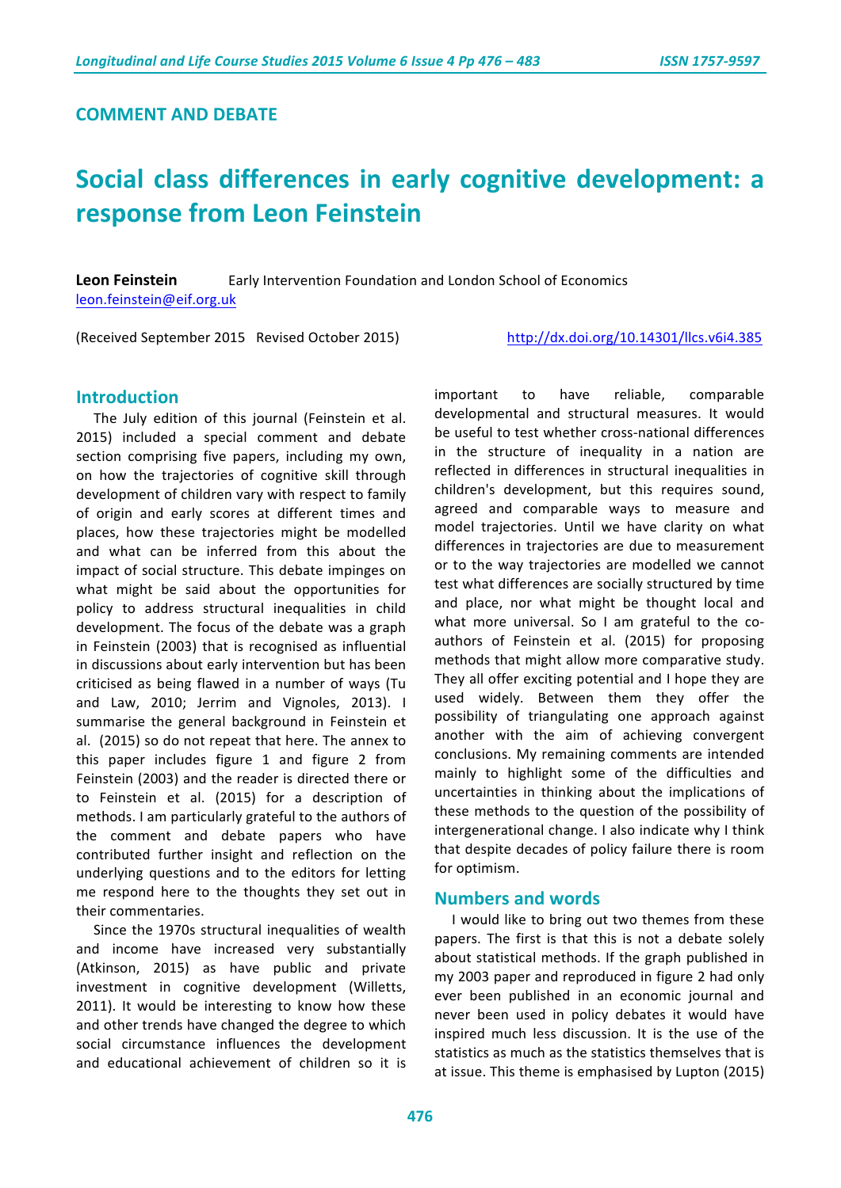### **COMMENT AND DEBATE**

# **Social class differences in early cognitive development: a response from Leon Feinstein**

**Leon Feinstein** Early Intervention Foundation and London School of Economics leon.feinstein@eif.org.uk

(Received September 2015 Revised October 2015) http://dx.doi.org/10.14301/llcs.v6i4.385

#### **Introduction**

The July edition of this journal (Feinstein et al. 2015) included a special comment and debate section comprising five papers, including my own, on how the trajectories of cognitive skill through development of children vary with respect to family of origin and early scores at different times and places, how these trajectories might be modelled and what can be inferred from this about the impact of social structure. This debate impinges on what might be said about the opportunities for policy to address structural inequalities in child development. The focus of the debate was a graph in Feinstein (2003) that is recognised as influential in discussions about early intervention but has been criticised as being flawed in a number of ways (Tu and Law, 2010; Jerrim and Vignoles, 2013). I summarise the general background in Feinstein et al. (2015) so do not repeat that here. The annex to this paper includes figure  $1$  and figure  $2$  from Feinstein (2003) and the reader is directed there or to Feinstein et al. (2015) for a description of methods. I am particularly grateful to the authors of the comment and debate papers who have contributed further insight and reflection on the underlying questions and to the editors for letting me respond here to the thoughts they set out in their commentaries.

Since the 1970s structural inequalities of wealth and income have increased very substantially (Atkinson, 2015) as have public and private investment in cognitive development (Willetts, 2011). It would be interesting to know how these and other trends have changed the degree to which social circumstance influences the development and educational achievement of children so it is

important to have reliable, comparable developmental and structural measures. It would be useful to test whether cross-national differences in the structure of inequality in a nation are reflected in differences in structural inequalities in children's development, but this requires sound, agreed and comparable ways to measure and model trajectories. Until we have clarity on what differences in trajectories are due to measurement or to the way trajectories are modelled we cannot test what differences are socially structured by time and place, nor what might be thought local and what more universal. So I am grateful to the coauthors of Feinstein et al. (2015) for proposing methods that might allow more comparative study. They all offer exciting potential and I hope they are used widely. Between them they offer the possibility of triangulating one approach against another with the aim of achieving convergent conclusions. My remaining comments are intended mainly to highlight some of the difficulties and uncertainties in thinking about the implications of these methods to the question of the possibility of intergenerational change. I also indicate why I think that despite decades of policy failure there is room for optimism.

# **Numbers and words**

I would like to bring out two themes from these papers. The first is that this is not a debate solely about statistical methods. If the graph published in my 2003 paper and reproduced in figure 2 had only ever been published in an economic journal and never been used in policy debates it would have inspired much less discussion. It is the use of the statistics as much as the statistics themselves that is at issue. This theme is emphasised by Lupton (2015)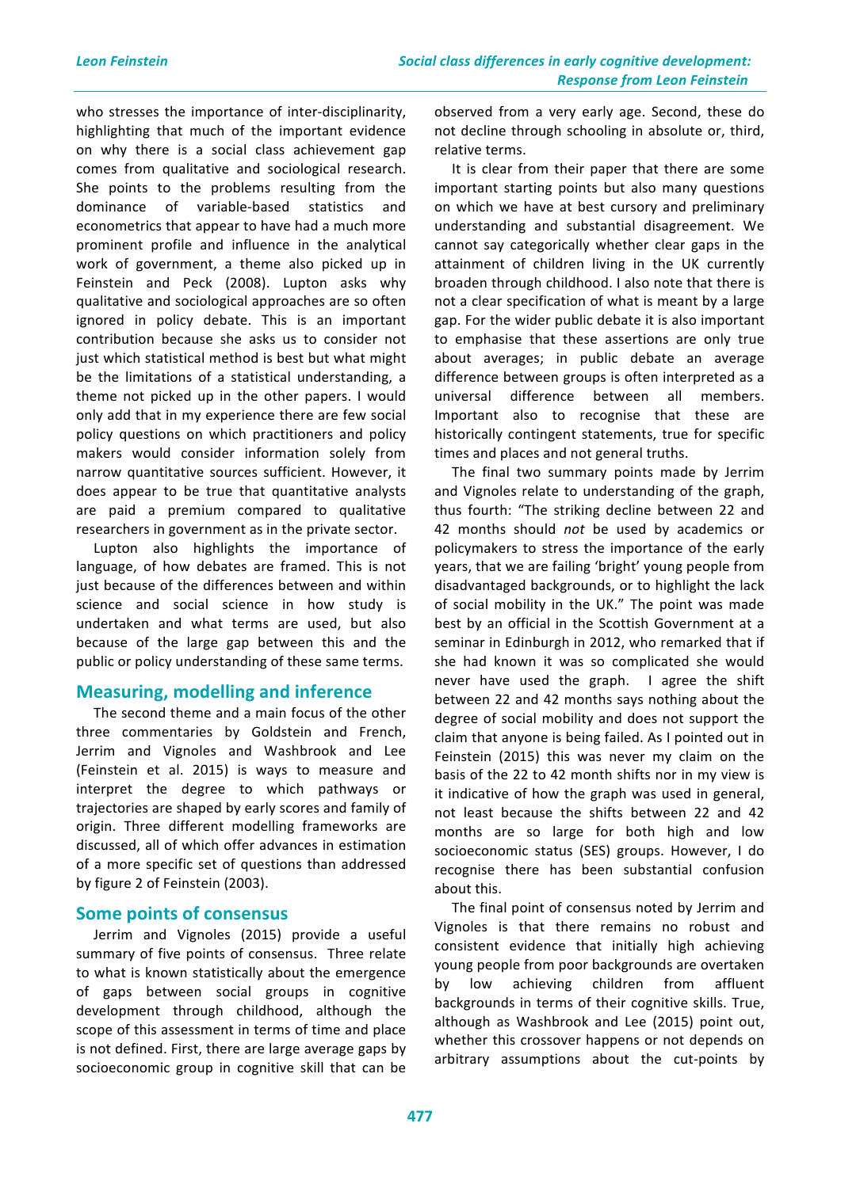who stresses the importance of inter-disciplinarity, highlighting that much of the important evidence on why there is a social class achievement gap comes from qualitative and sociological research. She points to the problems resulting from the dominance of variable-based statistics and econometrics that appear to have had a much more prominent profile and influence in the analytical work of government, a theme also picked up in Feinstein and Peck (2008). Lupton asks why qualitative and sociological approaches are so often ignored in policy debate. This is an important contribution because she asks us to consider not just which statistical method is best but what might be the limitations of a statistical understanding, a theme not picked up in the other papers. I would only add that in my experience there are few social policy questions on which practitioners and policy makers would consider information solely from narrow quantitative sources sufficient. However, it does appear to be true that quantitative analysts are paid a premium compared to qualitative researchers in government as in the private sector.

Lupton also highlights the importance of language, of how debates are framed. This is not just because of the differences between and within science and social science in how study is undertaken and what terms are used, but also because of the large gap between this and the public or policy understanding of these same terms.

# **Measuring, modelling and inference**

The second theme and a main focus of the other three commentaries by Goldstein and French, Jerrim and Vignoles and Washbrook and Lee (Feinstein et al. 2015) is ways to measure and interpret the degree to which pathways or trajectories are shaped by early scores and family of origin. Three different modelling frameworks are discussed, all of which offer advances in estimation of a more specific set of questions than addressed by figure 2 of Feinstein (2003).

#### **Some points of consensus**

Jerrim and Vignoles (2015) provide a useful summary of five points of consensus. Three relate to what is known statistically about the emergence of gaps between social groups in cognitive development through childhood, although the scope of this assessment in terms of time and place is not defined. First, there are large average gaps by socioeconomic group in cognitive skill that can be

observed from a very early age. Second, these do not decline through schooling in absolute or, third, relative terms.

It is clear from their paper that there are some important starting points but also many questions on which we have at best cursory and preliminary understanding and substantial disagreement. We cannot say categorically whether clear gaps in the attainment of children living in the UK currently broaden through childhood. I also note that there is not a clear specification of what is meant by a large gap. For the wider public debate it is also important to emphasise that these assertions are only true about averages; in public debate an average difference between groups is often interpreted as a universal difference between all members. Important also to recognise that these are historically contingent statements, true for specific times and places and not general truths.

The final two summary points made by Jerrim and Vignoles relate to understanding of the graph, thus fourth: "The striking decline between 22 and 42 months should *not* be used by academics or policymakers to stress the importance of the early years, that we are failing 'bright' young people from disadvantaged backgrounds, or to highlight the lack of social mobility in the UK." The point was made best by an official in the Scottish Government at a seminar in Edinburgh in 2012, who remarked that if she had known it was so complicated she would never have used the graph. I agree the shift between 22 and 42 months says nothing about the degree of social mobility and does not support the claim that anyone is being failed. As I pointed out in Feinstein (2015) this was never my claim on the basis of the 22 to 42 month shifts nor in my view is it indicative of how the graph was used in general, not least because the shifts between 22 and 42 months are so large for both high and low socioeconomic status (SES) groups. However, I do recognise there has been substantial confusion about this.

The final point of consensus noted by Jerrim and Vignoles is that there remains no robust and consistent evidence that initially high achieving young people from poor backgrounds are overtaken by low achieving children from affluent backgrounds in terms of their cognitive skills. True, although as Washbrook and Lee (2015) point out, whether this crossover happens or not depends on arbitrary assumptions about the cut-points by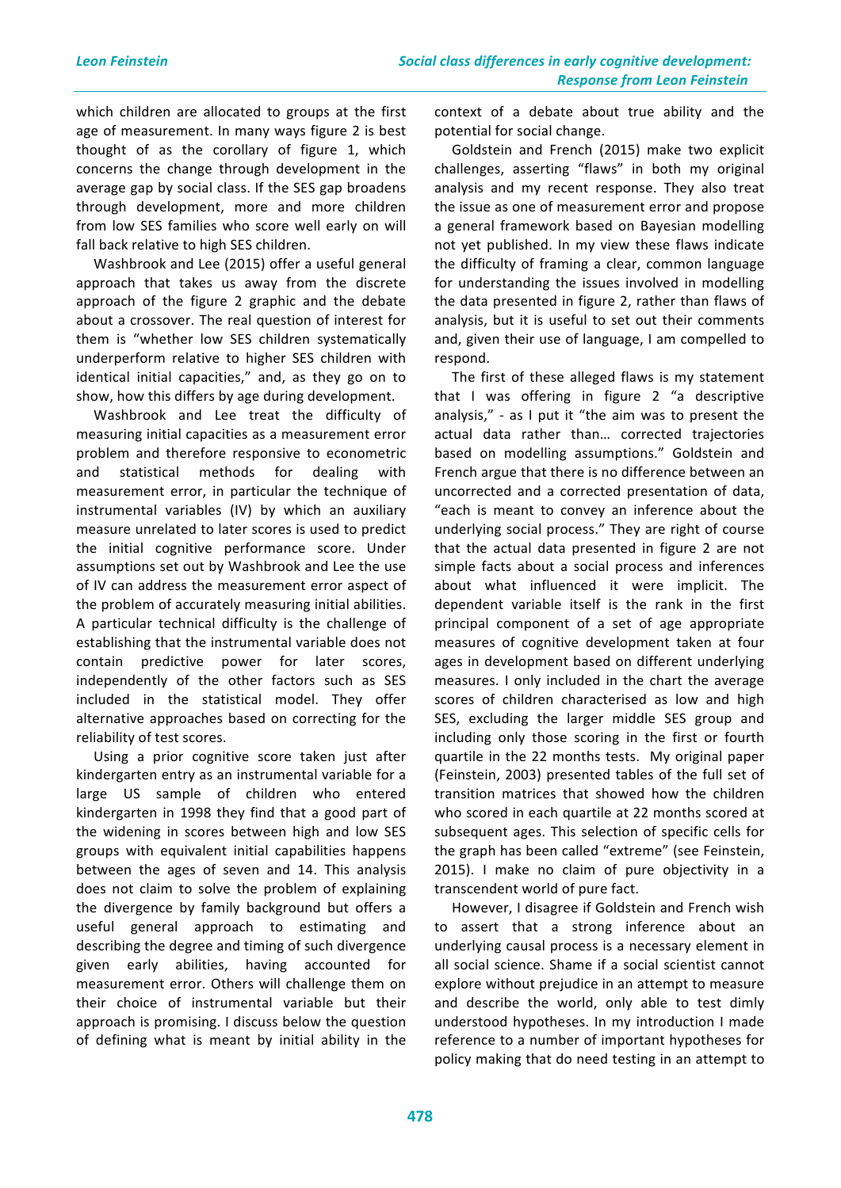which children are allocated to groups at the first age of measurement. In many ways figure 2 is best thought of as the corollary of figure 1, which concerns the change through development in the average gap by social class. If the SES gap broadens through development, more and more children from low SES families who score well early on will fall back relative to high SES children.

Washbrook and Lee (2015) offer a useful general approach that takes us away from the discrete approach of the figure 2 graphic and the debate about a crossover. The real question of interest for them is "whether low SES children systematically underperform relative to higher SES children with identical initial capacities," and, as they go on to show, how this differs by age during development.

Washbrook and Lee treat the difficulty of measuring initial capacities as a measurement error problem and therefore responsive to econometric and statistical methods for dealing with measurement error, in particular the technique of instrumental variables (IV) by which an auxiliary measure unrelated to later scores is used to predict the initial cognitive performance score. Under assumptions set out by Washbrook and Lee the use of IV can address the measurement error aspect of the problem of accurately measuring initial abilities. A particular technical difficulty is the challenge of establishing that the instrumental variable does not contain predictive power for later scores, independently of the other factors such as SES included in the statistical model. They offer alternative approaches based on correcting for the reliability of test scores.

Using a prior cognitive score taken just after kindergarten entry as an instrumental variable for a large US sample of children who entered kindergarten in 1998 they find that a good part of the widening in scores between high and low SES groups with equivalent initial capabilities happens between the ages of seven and 14. This analysis does not claim to solve the problem of explaining the divergence by family background but offers a useful general approach to estimating and describing the degree and timing of such divergence given early abilities, having accounted for measurement error. Others will challenge them on their choice of instrumental variable but their approach is promising. I discuss below the question of defining what is meant by initial ability in the

context of a debate about true ability and the potential for social change.

Goldstein and French (2015) make two explicit challenges, asserting "flaws" in both my original analysis and my recent response. They also treat the issue as one of measurement error and propose a general framework based on Bayesian modelling not yet published. In my view these flaws indicate the difficulty of framing a clear, common language for understanding the issues involved in modelling the data presented in figure 2, rather than flaws of analysis, but it is useful to set out their comments and, given their use of language, I am compelled to respond. 

The first of these alleged flaws is my statement that I was offering in figure  $2$  "a descriptive analysis," - as  $I$  put it "the aim was to present the actual data rather than... corrected trajectories based on modelling assumptions." Goldstein and French argue that there is no difference between an uncorrected and a corrected presentation of data, "each is meant to convey an inference about the underlying social process." They are right of course that the actual data presented in figure 2 are not simple facts about a social process and inferences about what influenced it were implicit. The dependent variable itself is the rank in the first principal component of a set of age appropriate measures of cognitive development taken at four ages in development based on different underlying measures. I only included in the chart the average scores of children characterised as low and high SES, excluding the larger middle SES group and including only those scoring in the first or fourth quartile in the 22 months tests. My original paper (Feinstein, 2003) presented tables of the full set of transition matrices that showed how the children who scored in each quartile at 22 months scored at subsequent ages. This selection of specific cells for the graph has been called "extreme" (see Feinstein, 2015). I make no claim of pure objectivity in a transcendent world of pure fact.

However, I disagree if Goldstein and French wish to assert that a strong inference about an underlying causal process is a necessary element in all social science. Shame if a social scientist cannot explore without prejudice in an attempt to measure and describe the world, only able to test dimly understood hypotheses. In my introduction I made reference to a number of important hypotheses for policy making that do need testing in an attempt to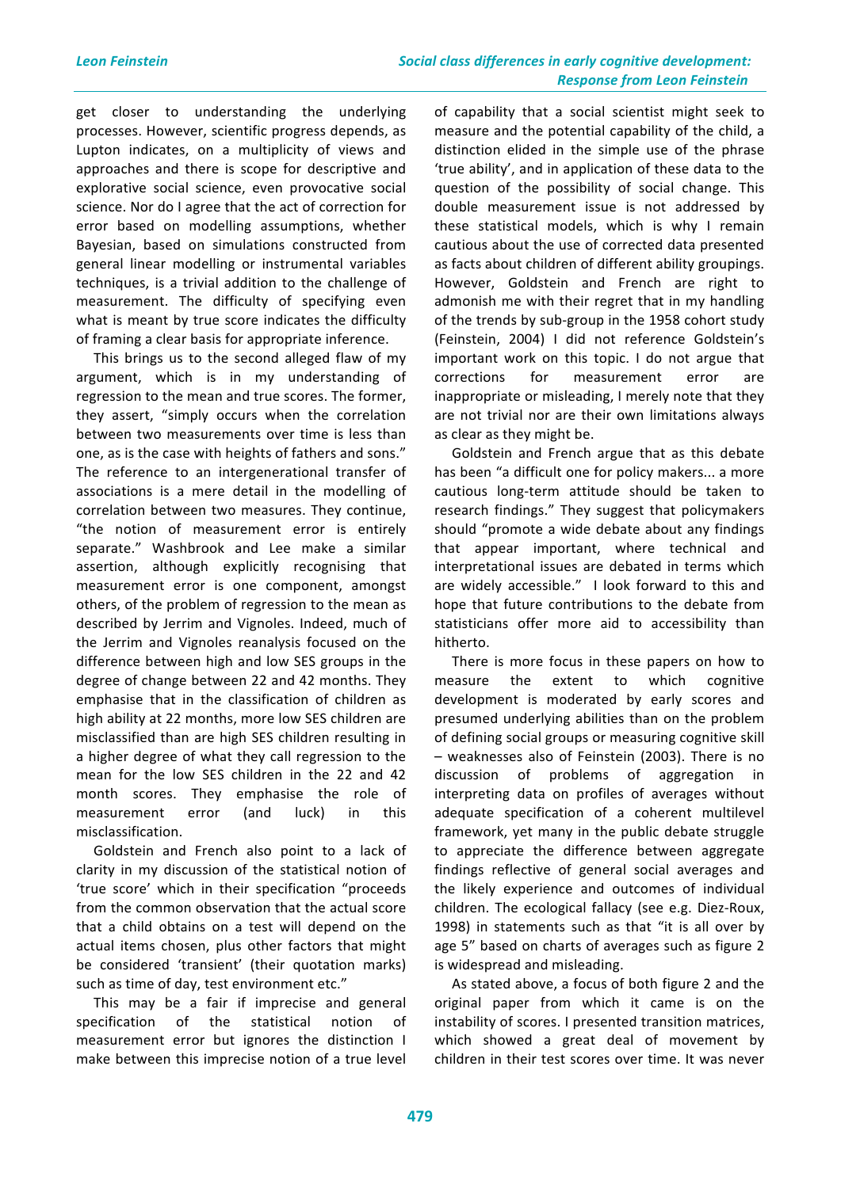get closer to understanding the underlying processes. However, scientific progress depends, as Lupton indicates, on a multiplicity of views and approaches and there is scope for descriptive and explorative social science, even provocative social science. Nor do I agree that the act of correction for error based on modelling assumptions, whether Bayesian, based on simulations constructed from general linear modelling or instrumental variables techniques, is a trivial addition to the challenge of measurement. The difficulty of specifying even what is meant by true score indicates the difficulty of framing a clear basis for appropriate inference.

This brings us to the second alleged flaw of my argument, which is in my understanding of regression to the mean and true scores. The former, they assert, "simply occurs when the correlation between two measurements over time is less than one, as is the case with heights of fathers and sons." The reference to an intergenerational transfer of associations is a mere detail in the modelling of correlation between two measures. They continue, "the notion of measurement error is entirely separate." Washbrook and Lee make a similar assertion, although explicitly recognising that measurement error is one component, amongst others, of the problem of regression to the mean as described by Jerrim and Vignoles. Indeed, much of the Jerrim and Vignoles reanalysis focused on the difference between high and low SES groups in the degree of change between 22 and 42 months. They emphasise that in the classification of children as high ability at 22 months, more low SES children are misclassified than are high SES children resulting in a higher degree of what they call regression to the mean for the low SES children in the 22 and 42 month scores. They emphasise the role of measurement error (and luck) in this misclassification.

Goldstein and French also point to a lack of clarity in my discussion of the statistical notion of 'true score' which in their specification "proceeds from the common observation that the actual score that a child obtains on a test will depend on the actual items chosen, plus other factors that might be considered 'transient' (their quotation marks) such as time of day, test environment etc."

This may be a fair if imprecise and general specification of the statistical notion of measurement error but ignores the distinction I make between this imprecise notion of a true level

of capability that a social scientist might seek to measure and the potential capability of the child, a distinction elided in the simple use of the phrase 'true ability', and in application of these data to the question of the possibility of social change. This double measurement issue is not addressed by these statistical models, which is why I remain cautious about the use of corrected data presented as facts about children of different ability groupings. However, Goldstein and French are right to admonish me with their regret that in my handling of the trends by sub-group in the 1958 cohort study (Feinstein, 2004) I did not reference Goldstein's important work on this topic. I do not argue that corrections for measurement error are inappropriate or misleading, I merely note that they are not trivial nor are their own limitations always as clear as they might be.

Goldstein and French argue that as this debate has been "a difficult one for policy makers... a more cautious long-term attitude should be taken to research findings." They suggest that policymakers should "promote a wide debate about any findings that appear important, where technical and interpretational issues are debated in terms which are widely accessible." I look forward to this and hope that future contributions to the debate from statisticians offer more aid to accessibility than hitherto.

There is more focus in these papers on how to measure the extent to which cognitive development is moderated by early scores and presumed underlying abilities than on the problem of defining social groups or measuring cognitive skill – weaknesses also of Feinstein (2003). There is no discussion of problems of aggregation in interpreting data on profiles of averages without adequate specification of a coherent multilevel framework, yet many in the public debate struggle to appreciate the difference between aggregate findings reflective of general social averages and the likely experience and outcomes of individual children. The ecological fallacy (see e.g. Diez-Roux, 1998) in statements such as that "it is all over by age 5" based on charts of averages such as figure 2 is widespread and misleading.

As stated above, a focus of both figure 2 and the original paper from which it came is on the instability of scores. I presented transition matrices, which showed a great deal of movement by children in their test scores over time. It was never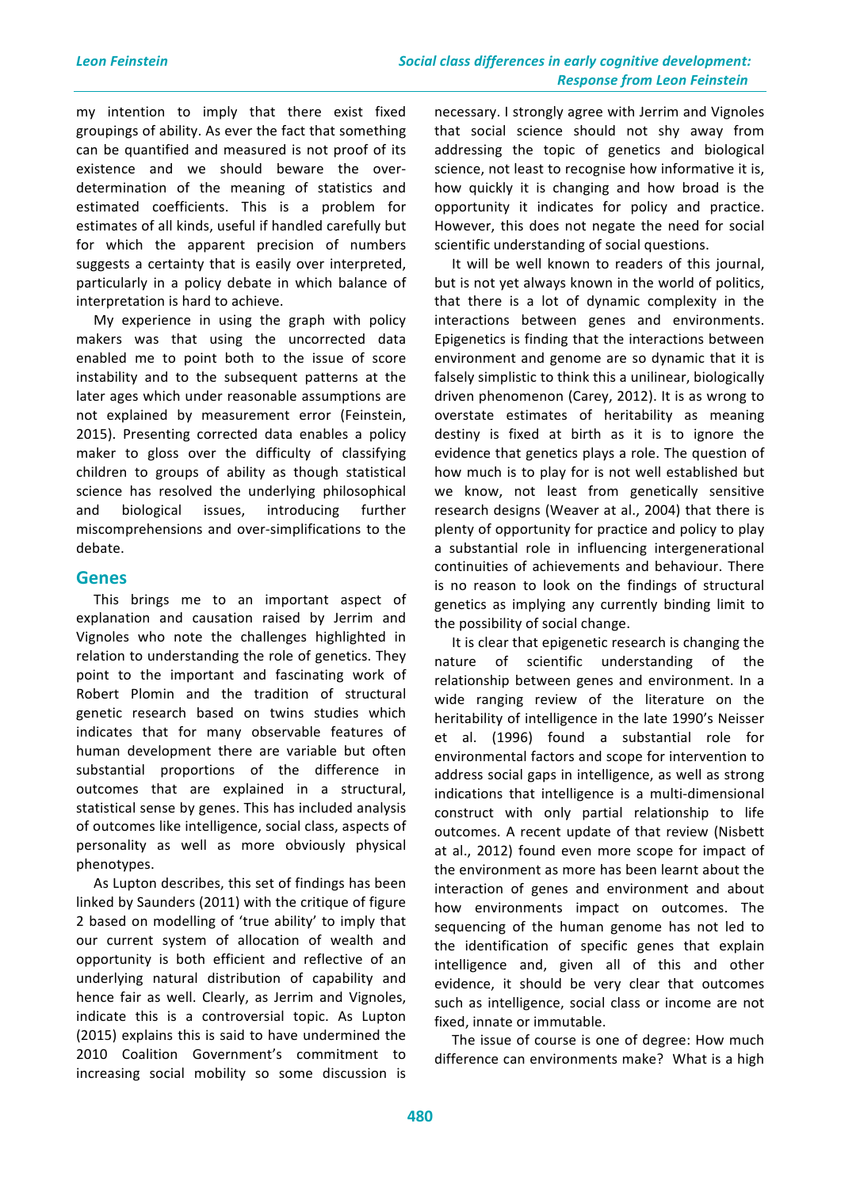my intention to imply that there exist fixed groupings of ability. As ever the fact that something can be quantified and measured is not proof of its existence and we should beware the overdetermination of the meaning of statistics and estimated coefficients. This is a problem for estimates of all kinds, useful if handled carefully but for which the apparent precision of numbers suggests a certainty that is easily over interpreted, particularly in a policy debate in which balance of interpretation is hard to achieve.

My experience in using the graph with policy makers was that using the uncorrected data enabled me to point both to the issue of score instability and to the subsequent patterns at the later ages which under reasonable assumptions are not explained by measurement error (Feinstein, 2015). Presenting corrected data enables a policy maker to gloss over the difficulty of classifying children to groups of ability as though statistical science has resolved the underlying philosophical and biological issues, introducing further miscomprehensions and over-simplifications to the debate.

# **Genes**

This brings me to an important aspect of explanation and causation raised by Jerrim and Vignoles who note the challenges highlighted in relation to understanding the role of genetics. They point to the important and fascinating work of Robert Plomin and the tradition of structural genetic research based on twins studies which indicates that for many observable features of human development there are variable but often substantial proportions of the difference in outcomes that are explained in a structural, statistical sense by genes. This has included analysis of outcomes like intelligence, social class, aspects of personality as well as more obviously physical phenotypes.

As Lupton describes, this set of findings has been linked by Saunders (2011) with the critique of figure 2 based on modelling of 'true ability' to imply that our current system of allocation of wealth and opportunity is both efficient and reflective of an underlying natural distribution of capability and hence fair as well. Clearly, as Jerrim and Vignoles, indicate this is a controversial topic. As Lupton (2015) explains this is said to have undermined the 2010 Coalition Government's commitment to increasing social mobility so some discussion is

necessary. I strongly agree with Jerrim and Vignoles that social science should not shy away from addressing the topic of genetics and biological science, not least to recognise how informative it is, how quickly it is changing and how broad is the opportunity it indicates for policy and practice. However, this does not negate the need for social scientific understanding of social questions.

It will be well known to readers of this journal, but is not yet always known in the world of politics, that there is a lot of dynamic complexity in the interactions between genes and environments. Epigenetics is finding that the interactions between environment and genome are so dynamic that it is falsely simplistic to think this a unilinear, biologically driven phenomenon (Carey, 2012). It is as wrong to overstate estimates of heritability as meaning destiny is fixed at birth as it is to ignore the evidence that genetics plays a role. The question of how much is to play for is not well established but we know, not least from genetically sensitive research designs (Weaver at al., 2004) that there is plenty of opportunity for practice and policy to play a substantial role in influencing intergenerational continuities of achievements and behaviour. There is no reason to look on the findings of structural genetics as implying any currently binding limit to the possibility of social change.

It is clear that epigenetic research is changing the nature of scientific understanding of the relationship between genes and environment. In a wide ranging review of the literature on the heritability of intelligence in the late 1990's Neisser et al. (1996) found a substantial role for environmental factors and scope for intervention to address social gaps in intelligence, as well as strong indications that intelligence is a multi-dimensional construct with only partial relationship to life outcomes. A recent update of that review (Nisbett at al., 2012) found even more scope for impact of the environment as more has been learnt about the interaction of genes and environment and about how environments impact on outcomes. The sequencing of the human genome has not led to the identification of specific genes that explain intelligence and, given all of this and other evidence, it should be very clear that outcomes such as intelligence, social class or income are not fixed, innate or immutable.

The issue of course is one of degree: How much difference can environments make? What is a high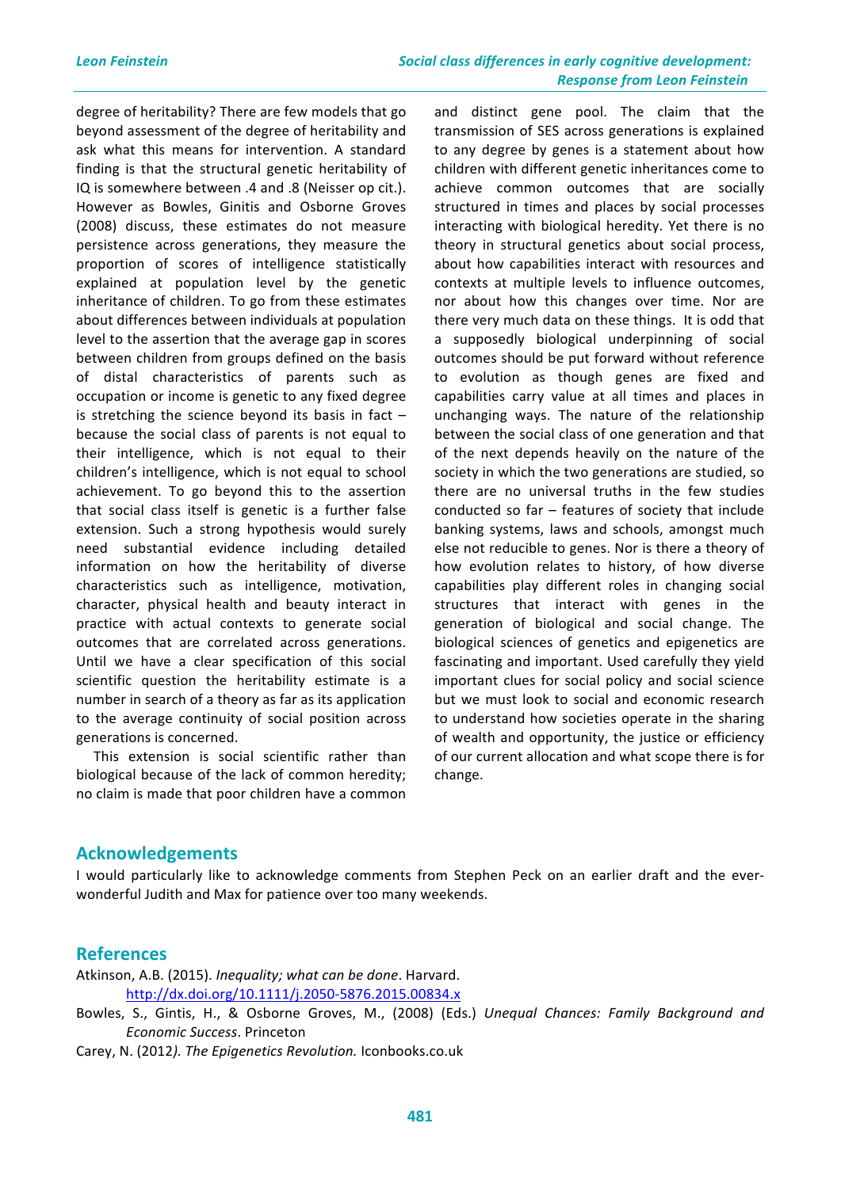degree of heritability? There are few models that go beyond assessment of the degree of heritability and ask what this means for intervention. A standard finding is that the structural genetic heritability of IQ is somewhere between .4 and .8 (Neisser op cit.). However as Bowles, Ginitis and Osborne Groves (2008) discuss, these estimates do not measure persistence across generations, they measure the proportion of scores of intelligence statistically explained at population level by the genetic inheritance of children. To go from these estimates about differences between individuals at population level to the assertion that the average gap in scores between children from groups defined on the basis of distal characteristics of parents such as occupation or income is genetic to any fixed degree is stretching the science beyond its basis in fact  $$ because the social class of parents is not equal to their intelligence, which is not equal to their children's intelligence, which is not equal to school achievement. To go beyond this to the assertion that social class itself is genetic is a further false extension. Such a strong hypothesis would surely need substantial evidence including detailed information on how the heritability of diverse characteristics such as intelligence, motivation, character, physical health and beauty interact in practice with actual contexts to generate social outcomes that are correlated across generations. Until we have a clear specification of this social scientific question the heritability estimate is a number in search of a theory as far as its application to the average continuity of social position across generations is concerned.

This extension is social scientific rather than biological because of the lack of common heredity; no claim is made that poor children have a common

and distinct gene pool. The claim that the transmission of SES across generations is explained to any degree by genes is a statement about how children with different genetic inheritances come to achieve common outcomes that are socially structured in times and places by social processes interacting with biological heredity. Yet there is no theory in structural genetics about social process, about how capabilities interact with resources and contexts at multiple levels to influence outcomes, nor about how this changes over time. Nor are there very much data on these things. It is odd that a supposedly biological underpinning of social outcomes should be put forward without reference to evolution as though genes are fixed and capabilities carry value at all times and places in unchanging ways. The nature of the relationship between the social class of one generation and that of the next depends heavily on the nature of the society in which the two generations are studied, so there are no universal truths in the few studies conducted so far  $-$  features of society that include banking systems, laws and schools, amongst much else not reducible to genes. Nor is there a theory of how evolution relates to history, of how diverse capabilities play different roles in changing social structures that interact with genes in the generation of biological and social change. The biological sciences of genetics and epigenetics are fascinating and important. Used carefully they yield important clues for social policy and social science but we must look to social and economic research to understand how societies operate in the sharing of wealth and opportunity, the justice or efficiency of our current allocation and what scope there is for change.

#### **Acknowledgements**

I would particularly like to acknowledge comments from Stephen Peck on an earlier draft and the everwonderful Judith and Max for patience over too many weekends.

#### **References**

Atkinson, A.B. (2015). *Inequality;* what can be done. Harvard. http://dx.doi.org/10.1111/j.2050-5876.2015.00834.x

Bowles, S., Gintis, H., & Osborne Groves, M., (2008) (Eds.) *Unequal Chances: Family Background and Economic Success*. Princeton

Carey, N. (2012). The Epigenetics Revolution. Iconbooks.co.uk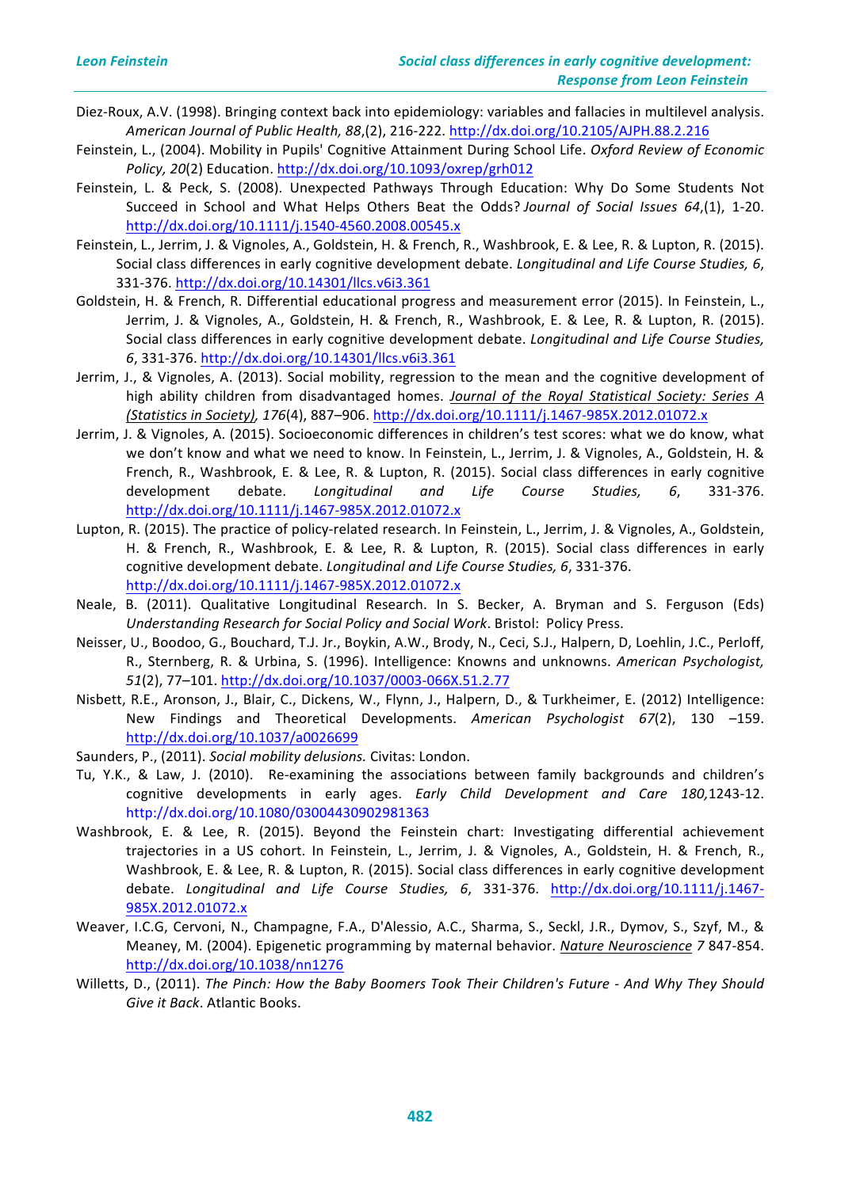- Diez-Roux, A.V. (1998). Bringing context back into epidemiology: variables and fallacies in multilevel analysis. *American Journal of Public Health, 88*,(2), 216-222. http://dx.doi.org/10.2105/AJPH.88.2.216
- Feinstein, L., (2004). Mobility in Pupils' Cognitive Attainment During School Life. *Oxford Review of Economic Policy, 20*(2) Education. http://dx.doi.org/10.1093/oxrep/grh012
- Feinstein, L. & Peck, S. (2008). Unexpected Pathways Through Education: Why Do Some Students Not Succeed in School and What Helps Others Beat the Odds? *Journal of Social Issues* 64,(1), 1-20. http://dx.doi.org/10.1111/j.1540-4560.2008.00545.x
- Feinstein, L., Jerrim, J. & Vignoles, A., Goldstein, H. & French, R., Washbrook, E. & Lee, R. & Lupton, R. (2015). Social class differences in early cognitive development debate. *Longitudinal and Life Course Studies, 6*, 331-376. http://dx.doi.org/10.14301/llcs.v6i3.361
- Goldstein, H. & French, R. Differential educational progress and measurement error (2015). In Feinstein, L., Jerrim, J. & Vignoles, A., Goldstein, H. & French, R., Washbrook, E. & Lee, R. & Lupton, R. (2015). Social class differences in early cognitive development debate. *Longitudinal and Life Course Studies*, *6*, 331-376. http://dx.doi.org/10.14301/llcs.v6i3.361
- Jerrim, J., & Vignoles, A. (2013). Social mobility, regression to the mean and the cognitive development of high ability children from disadvantaged homes. *Journal of the Royal Statistical Society: Series A (Statistics in Society), 176*(4), 887–906. http://dx.doi.org/10.1111/j.1467-985X.2012.01072.x
- Jerrim, J. & Vignoles, A. (2015). Socioeconomic differences in children's test scores: what we do know, what we don't know and what we need to know. In Feinstein, L., Jerrim, J. & Vignoles, A., Goldstein, H. & French, R., Washbrook, E. & Lee, R. & Lupton, R. (2015). Social class differences in early cognitive development debate. *Longitudinal and Life Course Studies, 6*, 331-376. http://dx.doi.org/10.1111/j.1467-985X.2012.01072.x
- Lupton, R. (2015). The practice of policy-related research. In Feinstein, L., Jerrim, J. & Vignoles, A., Goldstein, H. & French, R., Washbrook, E. & Lee, R. & Lupton, R. (2015). Social class differences in early cognitive development debate. *Longitudinal and Life Course Studies, 6*, 331-376. http://dx.doi.org/10.1111/j.1467-985X.2012.01072.x
- Neale, B. (2011). Qualitative Longitudinal Research. In S. Becker, A. Bryman and S. Ferguson (Eds) Understanding Research for Social Policy and Social Work. Bristol: Policy Press.
- Neisser, U., Boodoo, G., Bouchard, T.J. Jr., Boykin, A.W., Brody, N., Ceci, S.J., Halpern, D, Loehlin, J.C., Perloff, R., Sternberg, R. & Urbina, S. (1996). Intelligence: Knowns and unknowns. American Psychologist, *51*(2), 77–101. http://dx.doi.org/10.1037/0003-066X.51.2.77
- Nisbett, R.E., Aronson, J., Blair, C., Dickens, W., Flynn, J., Halpern, D., & Turkheimer, E. (2012) Intelligence: New Findings and Theoretical Developments. American Psychologist 67(2), 130 -159. http://dx.doi.org/10.1037/a0026699
- Saunders, P., (2011). Social mobility delusions. Civitas: London.
- Tu, Y.K., & Law, J. (2010). Re-examining the associations between family backgrounds and children's cognitive developments in early ages. *Early Child Development and Care 180,1243-12*. http://dx.doi.org/10.1080/03004430902981363
- Washbrook, E. & Lee, R. (2015). Beyond the Feinstein chart: Investigating differential achievement trajectories in a US cohort. In Feinstein, L., Jerrim, J. & Vignoles, A., Goldstein, H. & French, R., Washbrook, E. & Lee, R. & Lupton, R. (2015). Social class differences in early cognitive development debate. Longitudinal and Life Course Studies, 6, 331-376. http://dx.doi.org/10.1111/j.1467-985X.2012.01072.x
- Weaver, I.C.G, Cervoni, N., Champagne, F.A., D'Alessio, A.C., Sharma, S., Seckl, J.R., Dymov, S., Szyf, M., & Meaney, M. (2004). Epigenetic programming by maternal behavior. *Nature Neuroscience* 7 847-854. http://dx.doi.org/10.1038/nn1276
- Willetts, D., (2011). The Pinch: How the Baby Boomers Took Their Children's Future And Why They Should Give it Back. Atlantic Books.